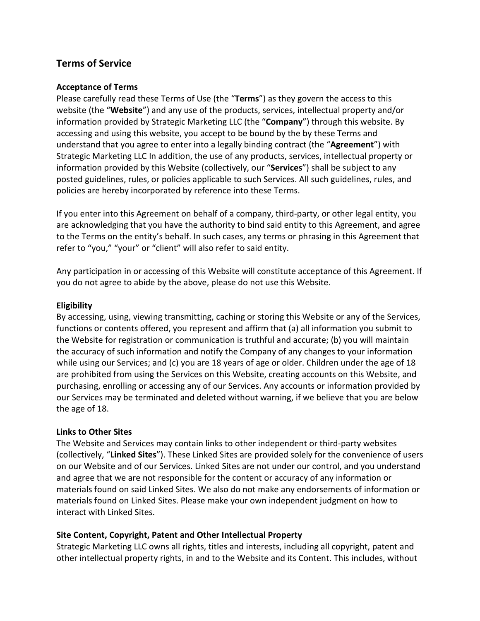# **Terms of Service**

### **Acceptance of Terms**

Please carefully read these Terms of Use (the "**Terms**") as they govern the access to this website (the "**Website**") and any use of the products, services, intellectual property and/or information provided by Strategic Marketing LLC (the "**Company**") through this website. By accessing and using this website, you accept to be bound by the by these Terms and understand that you agree to enter into a legally binding contract (the "**Agreement**") with Strategic Marketing LLC In addition, the use of any products, services, intellectual property or information provided by this Website (collectively, our "**Services**") shall be subject to any posted guidelines, rules, or policies applicable to such Services. All such guidelines, rules, and policies are hereby incorporated by reference into these Terms.

If you enter into this Agreement on behalf of a company, third-party, or other legal entity, you are acknowledging that you have the authority to bind said entity to this Agreement, and agree to the Terms on the entity's behalf. In such cases, any terms or phrasing in this Agreement that refer to "you," "your" or "client" will also refer to said entity.

Any participation in or accessing of this Website will constitute acceptance of this Agreement. If you do not agree to abide by the above, please do not use this Website.

## **Eligibility**

By accessing, using, viewing transmitting, caching or storing this Website or any of the Services, functions or contents offered, you represent and affirm that (a) all information you submit to the Website for registration or communication is truthful and accurate; (b) you will maintain the accuracy of such information and notify the Company of any changes to your information while using our Services; and (c) you are 18 years of age or older. Children under the age of 18 are prohibited from using the Services on this Website, creating accounts on this Website, and purchasing, enrolling or accessing any of our Services. Any accounts or information provided by our Services may be terminated and deleted without warning, if we believe that you are below the age of 18.

#### **Links to Other Sites**

The Website and Services may contain links to other independent or third-party websites (collectively, "**Linked Sites**"). These Linked Sites are provided solely for the convenience of users on our Website and of our Services. Linked Sites are not under our control, and you understand and agree that we are not responsible for the content or accuracy of any information or materials found on said Linked Sites. We also do not make any endorsements of information or materials found on Linked Sites. Please make your own independent judgment on how to interact with Linked Sites.

# **Site Content, Copyright, Patent and Other Intellectual Property**

Strategic Marketing LLC owns all rights, titles and interests, including all copyright, patent and other intellectual property rights, in and to the Website and its Content. This includes, without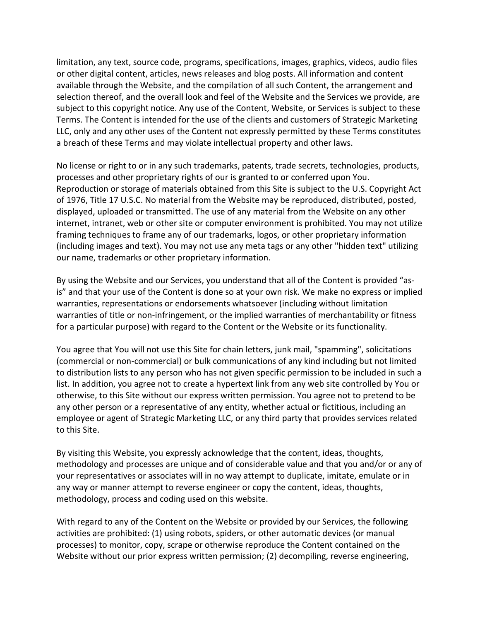limitation, any text, source code, programs, specifications, images, graphics, videos, audio files or other digital content, articles, news releases and blog posts. All information and content available through the Website, and the compilation of all such Content, the arrangement and selection thereof, and the overall look and feel of the Website and the Services we provide, are subject to this copyright notice. Any use of the Content, Website, or Services is subject to these Terms. The Content is intended for the use of the clients and customers of Strategic Marketing LLC, only and any other uses of the Content not expressly permitted by these Terms constitutes a breach of these Terms and may violate intellectual property and other laws.

No license or right to or in any such trademarks, patents, trade secrets, technologies, products, processes and other proprietary rights of our is granted to or conferred upon You. Reproduction or storage of materials obtained from this Site is subject to the U.S. Copyright Act of 1976, Title 17 U.S.C. No material from the Website may be reproduced, distributed, posted, displayed, uploaded or transmitted. The use of any material from the Website on any other internet, intranet, web or other site or computer environment is prohibited. You may not utilize framing techniques to frame any of our trademarks, logos, or other proprietary information (including images and text). You may not use any meta tags or any other "hidden text" utilizing our name, trademarks or other proprietary information.

By using the Website and our Services, you understand that all of the Content is provided "asis" and that your use of the Content is done so at your own risk. We make no express or implied warranties, representations or endorsements whatsoever (including without limitation warranties of title or non-infringement, or the implied warranties of merchantability or fitness for a particular purpose) with regard to the Content or the Website or its functionality.

You agree that You will not use this Site for chain letters, junk mail, "spamming", solicitations (commercial or non-commercial) or bulk communications of any kind including but not limited to distribution lists to any person who has not given specific permission to be included in such a list. In addition, you agree not to create a hypertext link from any web site controlled by You or otherwise, to this Site without our express written permission. You agree not to pretend to be any other person or a representative of any entity, whether actual or fictitious, including an employee or agent of Strategic Marketing LLC, or any third party that provides services related to this Site.

By visiting this Website, you expressly acknowledge that the content, ideas, thoughts, methodology and processes are unique and of considerable value and that you and/or or any of your representatives or associates will in no way attempt to duplicate, imitate, emulate or in any way or manner attempt to reverse engineer or copy the content, ideas, thoughts, methodology, process and coding used on this website.

With regard to any of the Content on the Website or provided by our Services, the following activities are prohibited: (1) using robots, spiders, or other automatic devices (or manual processes) to monitor, copy, scrape or otherwise reproduce the Content contained on the Website without our prior express written permission; (2) decompiling, reverse engineering,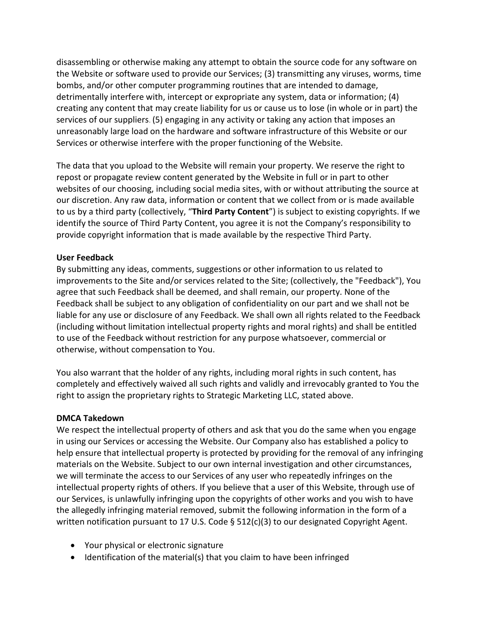disassembling or otherwise making any attempt to obtain the source code for any software on the Website or software used to provide our Services; (3) transmitting any viruses, worms, time bombs, and/or other computer programming routines that are intended to damage, detrimentally interfere with, intercept or expropriate any system, data or information; (4) creating any content that may create liability for us or cause us to lose (in whole or in part) the services of our suppliers. (5) engaging in any activity or taking any action that imposes an unreasonably large load on the hardware and software infrastructure of this Website or our Services or otherwise interfere with the proper functioning of the Website.

The data that you upload to the Website will remain your property. We reserve the right to repost or propagate review content generated by the Website in full or in part to other websites of our choosing, including social media sites, with or without attributing the source at our discretion. Any raw data, information or content that we collect from or is made available to us by a third party (collectively, "**Third Party Content**") is subject to existing copyrights. If we identify the source of Third Party Content, you agree it is not the Company's responsibility to provide copyright information that is made available by the respective Third Party.

## **User Feedback**

By submitting any ideas, comments, suggestions or other information to us related to improvements to the Site and/or services related to the Site; (collectively, the "Feedback"), You agree that such Feedback shall be deemed, and shall remain, our property. None of the Feedback shall be subject to any obligation of confidentiality on our part and we shall not be liable for any use or disclosure of any Feedback. We shall own all rights related to the Feedback (including without limitation intellectual property rights and moral rights) and shall be entitled to use of the Feedback without restriction for any purpose whatsoever, commercial or otherwise, without compensation to You.

You also warrant that the holder of any rights, including moral rights in such content, has completely and effectively waived all such rights and validly and irrevocably granted to You the right to assign the proprietary rights to Strategic Marketing LLC, stated above.

#### **DMCA Takedown**

We respect the intellectual property of others and ask that you do the same when you engage in using our Services or accessing the Website. Our Company also has established a policy to help ensure that intellectual property is protected by providing for the removal of any infringing materials on the Website. Subject to our own internal investigation and other circumstances, we will terminate the access to our Services of any user who repeatedly infringes on the intellectual property rights of others. If you believe that a user of this Website, through use of our Services, is unlawfully infringing upon the copyrights of other works and you wish to have the allegedly infringing material removed, submit the following information in the form of a written notification pursuant to 17 U.S. Code § 512(c)(3) to our designated Copyright Agent.

- Your physical or electronic signature
- Identification of the material(s) that you claim to have been infringed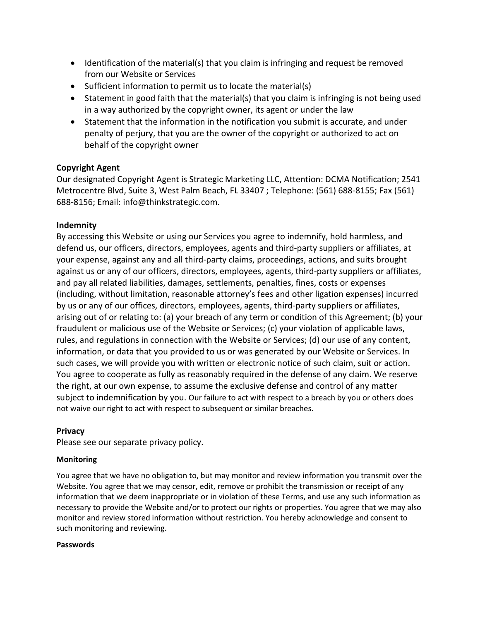- Identification of the material(s) that you claim is infringing and request be removed from our Website or Services
- Sufficient information to permit us to locate the material(s)
- Statement in good faith that the material(s) that you claim is infringing is not being used in a way authorized by the copyright owner, its agent or under the law
- Statement that the information in the notification you submit is accurate, and under penalty of perjury, that you are the owner of the copyright or authorized to act on behalf of the copyright owner

# **Copyright Agent**

Our designated Copyright Agent is Strategic Marketing LLC, Attention: DCMA Notification; 2541 Metrocentre Blvd, Suite 3, West Palm Beach, FL 33407 ; Telephone: (561) 688-8155; Fax (561) 688-8156; Email: info@thinkstrategic.com.

# **Indemnity**

By accessing this Website or using our Services you agree to indemnify, hold harmless, and defend us, our officers, directors, employees, agents and third-party suppliers or affiliates, at your expense, against any and all third-party claims, proceedings, actions, and suits brought against us or any of our officers, directors, employees, agents, third-party suppliers or affiliates, and pay all related liabilities, damages, settlements, penalties, fines, costs or expenses (including, without limitation, reasonable attorney's fees and other ligation expenses) incurred by us or any of our offices, directors, employees, agents, third-party suppliers or affiliates, arising out of or relating to: (a) your breach of any term or condition of this Agreement; (b) your fraudulent or malicious use of the Website or Services; (c) your violation of applicable laws, rules, and regulations in connection with the Website or Services; (d) our use of any content, information, or data that you provided to us or was generated by our Website or Services. In such cases, we will provide you with written or electronic notice of such claim, suit or action. You agree to cooperate as fully as reasonably required in the defense of any claim. We reserve the right, at our own expense, to assume the exclusive defense and control of any matter subject to indemnification by you. Our failure to act with respect to a breach by you or others does not waive our right to act with respect to subsequent or similar breaches.

# **Privacy**

Please see our separate privacy policy.

# **Monitoring**

You agree that we have no obligation to, but may monitor and review information you transmit over the Website. You agree that we may censor, edit, remove or prohibit the transmission or receipt of any information that we deem inappropriate or in violation of these Terms, and use any such information as necessary to provide the Website and/or to protect our rights or properties. You agree that we may also monitor and review stored information without restriction. You hereby acknowledge and consent to such monitoring and reviewing.

#### **Passwords**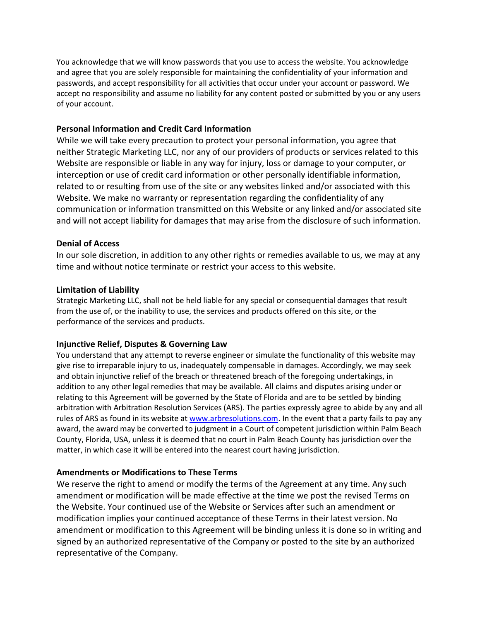You acknowledge that we will know passwords that you use to access the website. You acknowledge and agree that you are solely responsible for maintaining the confidentiality of your information and passwords, and accept responsibility for all activities that occur under your account or password. We accept no responsibility and assume no liability for any content posted or submitted by you or any users of your account.

#### **Personal Information and Credit Card Information**

While we will take every precaution to protect your personal information, you agree that neither Strategic Marketing LLC, nor any of our providers of products or services related to this Website are responsible or liable in any way for injury, loss or damage to your computer, or interception or use of credit card information or other personally identifiable information, related to or resulting from use of the site or any websites linked and/or associated with this Website. We make no warranty or representation regarding the confidentiality of any communication or information transmitted on this Website or any linked and/or associated site and will not accept liability for damages that may arise from the disclosure of such information.

## **Denial of Access**

In our sole discretion, in addition to any other rights or remedies available to us, we may at any time and without notice terminate or restrict your access to this website.

## **Limitation of Liability**

Strategic Marketing LLC, shall not be held liable for any special or consequential damages that result from the use of, or the inability to use, the services and products offered on this site, or the performance of the services and products.

#### **Injunctive Relief, Disputes & Governing Law**

You understand that any attempt to reverse engineer or simulate the functionality of this website may give rise to irreparable injury to us, inadequately compensable in damages. Accordingly, we may seek and obtain injunctive relief of the breach or threatened breach of the foregoing undertakings, in addition to any other legal remedies that may be available. All claims and disputes arising under or relating to this Agreement will be governed by the State of Florida and are to be settled by binding arbitration with Arbitration Resolution Services (ARS). The parties expressly agree to abide by any and all rules of ARS as found in its website at [www.arbresolutions.com.](http://www.arbresolutions.com/) In the event that a party fails to pay any award, the award may be converted to judgment in a Court of competent jurisdiction within Palm Beach County, Florida, USA, unless it is deemed that no court in Palm Beach County has jurisdiction over the matter, in which case it will be entered into the nearest court having jurisdiction.

# **Amendments or Modifications to These Terms**

We reserve the right to amend or modify the terms of the Agreement at any time. Any such amendment or modification will be made effective at the time we post the revised Terms on the Website. Your continued use of the Website or Services after such an amendment or modification implies your continued acceptance of these Terms in their latest version. No amendment or modification to this Agreement will be binding unless it is done so in writing and signed by an authorized representative of the Company or posted to the site by an authorized representative of the Company.